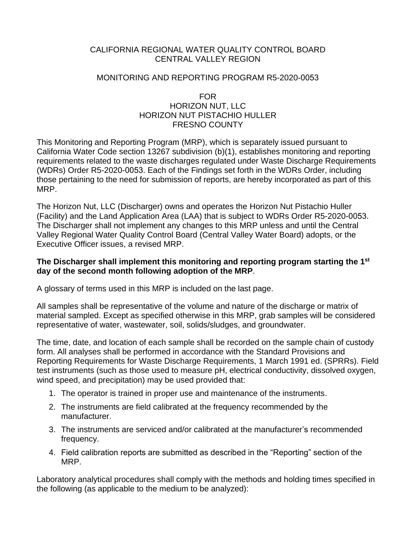## CALIFORNIA REGIONAL WATER QUALITY CONTROL BOARD CENTRAL VALLEY REGION

## MONITORING AND REPORTING PROGRAM R5-2020-0053

## FOR HORIZON NUT, LLC HORIZON NUT PISTACHIO HULLER FRESNO COUNTY

This Monitoring and Reporting Program (MRP), which is separately issued pursuant to California Water Code section 13267 subdivision (b)(1), establishes monitoring and reporting requirements related to the waste discharges regulated under Waste Discharge Requirements (WDRs) Order R5-2020-0053. Each of the Findings set forth in the WDRs Order, including those pertaining to the need for submission of reports, are hereby incorporated as part of this MRP.

The Horizon Nut, LLC (Discharger) owns and operates the Horizon Nut Pistachio Huller (Facility) and the Land Application Area (LAA) that is subject to WDRs Order R5-2020-0053. The Discharger shall not implement any changes to this MRP unless and until the Central Valley Regional Water Quality Control Board (Central Valley Water Board) adopts, or the Executive Officer issues, a revised MRP.

## **The Discharger shall implement this monitoring and reporting program starting the 1st day of the second month following adoption of the MRP**.

A glossary of terms used in this MRP is included on the last page.

All samples shall be representative of the volume and nature of the discharge or matrix of material sampled. Except as specified otherwise in this MRP, grab samples will be considered representative of water, wastewater, soil, solids/sludges, and groundwater.

The time, date, and location of each sample shall be recorded on the sample chain of custody form. All analyses shall be performed in accordance with the Standard Provisions and Reporting Requirements for Waste Discharge Requirements, 1 March 1991 ed. (SPRRs). Field test instruments (such as those used to measure pH, electrical conductivity, dissolved oxygen, wind speed, and precipitation) may be used provided that:

- 1. The operator is trained in proper use and maintenance of the instruments.
- 2. The instruments are field calibrated at the frequency recommended by the manufacturer.
- 3. The instruments are serviced and/or calibrated at the manufacturer's recommended frequency.
- 4. Field calibration reports are submitted as described in the "Reporting" section of the MRP.

Laboratory analytical procedures shall comply with the methods and holding times specified in the following (as applicable to the medium to be analyzed):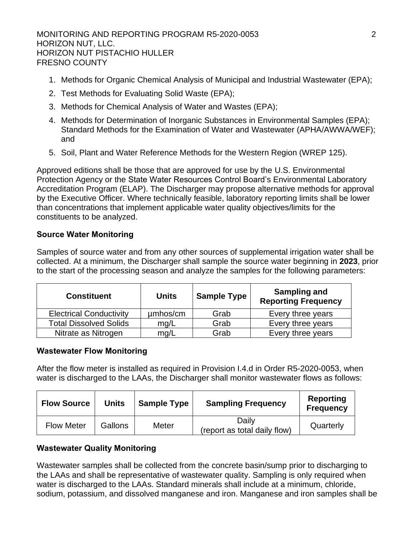MONITORING AND REPORTING PROGRAM R5-2020-0053 2 HORIZON NUT, LLC. HORIZON NUT PISTACHIO HULLER FRESNO COUNTY

- 1. Methods for Organic Chemical Analysis of Municipal and Industrial Wastewater (EPA);
- 2. Test Methods for Evaluating Solid Waste (EPA);
- 3. Methods for Chemical Analysis of Water and Wastes (EPA);
- 4. Methods for Determination of Inorganic Substances in Environmental Samples (EPA); Standard Methods for the Examination of Water and Wastewater (APHA/AWWA/WEF); and
- 5. Soil, Plant and Water Reference Methods for the Western Region (WREP 125).

Approved editions shall be those that are approved for use by the U.S. Environmental Protection Agency or the State Water Resources Control Board's Environmental Laboratory Accreditation Program (ELAP). The Discharger may propose alternative methods for approval by the Executive Officer. Where technically feasible, laboratory reporting limits shall be lower than concentrations that implement applicable water quality objectives/limits for the constituents to be analyzed.

# **Source Water Monitoring**

Samples of source water and from any other sources of supplemental irrigation water shall be collected. At a minimum, the Discharger shall sample the source water beginning in **2023**, prior to the start of the processing season and analyze the samples for the following parameters:

| <b>Constituent</b>             | Units    | <b>Sample Type</b> | Sampling and<br><b>Reporting Frequency</b> |
|--------------------------------|----------|--------------------|--------------------------------------------|
| <b>Electrical Conductivity</b> | umhos/cm | Grab               | Every three years                          |
| <b>Total Dissolved Solids</b>  | mq/L     | Grab               | Every three years                          |
| Nitrate as Nitrogen            | mg/L     | Grab               | Every three years                          |

## **Wastewater Flow Monitoring**

After the flow meter is installed as required in Provision I.4.d in Order R5-2020-0053, when water is discharged to the LAAs, the Discharger shall monitor wastewater flows as follows:

| <b>Flow Source</b> | <b>Units</b> | <b>Sample Type</b> | <b>Sampling Frequency</b>             | Reporting<br><b>Frequency</b> |
|--------------------|--------------|--------------------|---------------------------------------|-------------------------------|
| <b>Flow Meter</b>  | Gallons      | Meter              | Daily<br>(report as total daily flow) | Quarterly                     |

## **Wastewater Quality Monitoring**

Wastewater samples shall be collected from the concrete basin/sump prior to discharging to the LAAs and shall be representative of wastewater quality. Sampling is only required when water is discharged to the LAAs. Standard minerals shall include at a minimum, chloride, sodium, potassium, and dissolved manganese and iron. Manganese and iron samples shall be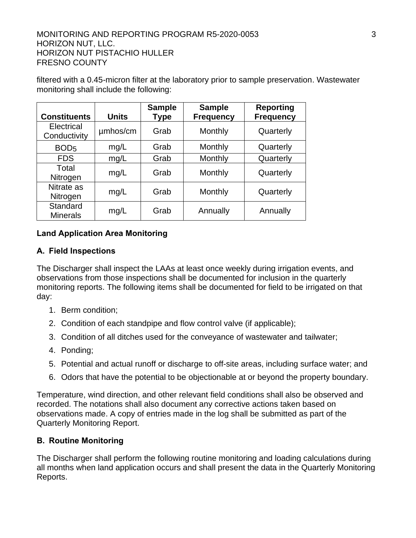#### MONITORING AND REPORTING PROGRAM R5-2020-0053 3 HORIZON NUT, LLC. HORIZON NUT PISTACHIO HULLER FRESNO COUNTY

|                             | <b>Units</b> | <b>Sample</b> | <b>Sample</b>    | <b>Reporting</b> |
|-----------------------------|--------------|---------------|------------------|------------------|
| <b>Constituents</b>         |              | Type          | <b>Frequency</b> | <b>Frequency</b> |
| Electrical<br>Conductivity  | umhos/cm     | Grab          | Monthly          | Quarterly        |
| BOD <sub>5</sub>            | mg/L         | Grab          | Monthly          | Quarterly        |
| <b>FDS</b>                  | mg/L         | Grab          | Monthly          | Quarterly        |
| Total<br>Nitrogen           | mg/L         | Grab          | Monthly          | Quarterly        |
| Nitrate as<br>Nitrogen      | mg/L         | Grab          | Monthly          | Quarterly        |
| Standard<br><b>Minerals</b> | mg/L         | Grab          | Annually         | Annually         |

filtered with a 0.45-micron filter at the laboratory prior to sample preservation. Wastewater monitoring shall include the following:

# **Land Application Area Monitoring**

#### **A. Field Inspections**

The Discharger shall inspect the LAAs at least once weekly during irrigation events, and observations from those inspections shall be documented for inclusion in the quarterly monitoring reports. The following items shall be documented for field to be irrigated on that day:

- 1. Berm condition;
- 2. Condition of each standpipe and flow control valve (if applicable);
- 3. Condition of all ditches used for the conveyance of wastewater and tailwater;
- 4. Ponding;
- 5. Potential and actual runoff or discharge to off-site areas, including surface water; and
- 6. Odors that have the potential to be objectionable at or beyond the property boundary.

Temperature, wind direction, and other relevant field conditions shall also be observed and recorded. The notations shall also document any corrective actions taken based on observations made. A copy of entries made in the log shall be submitted as part of the Quarterly Monitoring Report.

#### **B. Routine Monitoring**

The Discharger shall perform the following routine monitoring and loading calculations during all months when land application occurs and shall present the data in the Quarterly Monitoring Reports.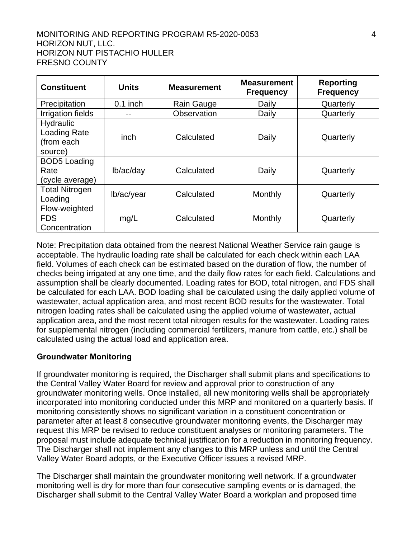#### MONITORING AND REPORTING PROGRAM R5-2020-0053 4 HORIZON NUT, LLC. HORIZON NUT PISTACHIO HULLER FRESNO COUNTY

| <b>Constituent</b>                                        | <b>Units</b> | <b>Measurement</b> | <b>Measurement</b><br><b>Frequency</b> | <b>Reporting</b><br><b>Frequency</b> |
|-----------------------------------------------------------|--------------|--------------------|----------------------------------------|--------------------------------------|
| Precipitation                                             | $0.1$ inch   | Rain Gauge         | Daily                                  | Quarterly                            |
| <b>Irrigation fields</b>                                  |              | Observation        | Daily                                  | Quarterly                            |
| Hydraulic<br><b>Loading Rate</b><br>(from each<br>source) | inch         | Calculated         | Daily                                  | Quarterly                            |
| <b>BOD5</b> Loading<br>Rate<br>(cycle average)            | lb/ac/day    | Calculated         | Daily                                  | Quarterly                            |
| <b>Total Nitrogen</b><br>Loading                          | lb/ac/year   | Calculated         | Monthly                                | Quarterly                            |
| Flow-weighted<br><b>FDS</b><br>Concentration              | mg/L         | Calculated         | Monthly                                | Quarterly                            |

Note: Precipitation data obtained from the nearest National Weather Service rain gauge is acceptable. The hydraulic loading rate shall be calculated for each check within each LAA field. Volumes of each check can be estimated based on the duration of flow, the number of checks being irrigated at any one time, and the daily flow rates for each field. Calculations and assumption shall be clearly documented. Loading rates for BOD, total nitrogen, and FDS shall be calculated for each LAA. BOD loading shall be calculated using the daily applied volume of wastewater, actual application area, and most recent BOD results for the wastewater. Total nitrogen loading rates shall be calculated using the applied volume of wastewater, actual application area, and the most recent total nitrogen results for the wastewater. Loading rates for supplemental nitrogen (including commercial fertilizers, manure from cattle, etc.) shall be calculated using the actual load and application area.

## **Groundwater Monitoring**

If groundwater monitoring is required, the Discharger shall submit plans and specifications to the Central Valley Water Board for review and approval prior to construction of any groundwater monitoring wells. Once installed, all new monitoring wells shall be appropriately incorporated into monitoring conducted under this MRP and monitored on a quarterly basis. If monitoring consistently shows no significant variation in a constituent concentration or parameter after at least 8 consecutive groundwater monitoring events, the Discharger may request this MRP be revised to reduce constituent analyses or monitoring parameters. The proposal must include adequate technical justification for a reduction in monitoring frequency. The Discharger shall not implement any changes to this MRP unless and until the Central Valley Water Board adopts, or the Executive Officer issues a revised MRP.

The Discharger shall maintain the groundwater monitoring well network. If a groundwater monitoring well is dry for more than four consecutive sampling events or is damaged, the Discharger shall submit to the Central Valley Water Board a workplan and proposed time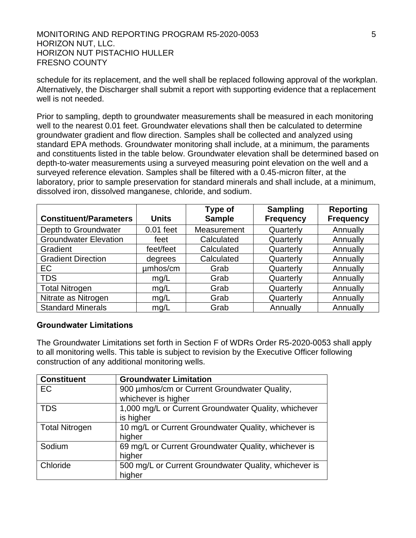#### MONITORING AND REPORTING PROGRAM R5-2020-0053 SAMPLE REPORTING HORIZON NUT, LLC. HORIZON NUT PISTACHIO HULLER FRESNO COUNTY

schedule for its replacement, and the well shall be replaced following approval of the workplan. Alternatively, the Discharger shall submit a report with supporting evidence that a replacement well is not needed.

Prior to sampling, depth to groundwater measurements shall be measured in each monitoring well to the nearest 0.01 feet. Groundwater elevations shall then be calculated to determine groundwater gradient and flow direction. Samples shall be collected and analyzed using standard EPA methods. Groundwater monitoring shall include, at a minimum, the paraments and constituents listed in the table below. Groundwater elevation shall be determined based on depth-to-water measurements using a surveyed measuring point elevation on the well and a surveyed reference elevation. Samples shall be filtered with a 0.45-micron filter, at the laboratory, prior to sample preservation for standard minerals and shall include, at a minimum, dissolved iron, dissolved manganese, chloride, and sodium.

| <b>Constituent/Parameters</b> | <b>Units</b> | Type of<br><b>Sample</b> | <b>Sampling</b><br><b>Frequency</b> | <b>Reporting</b><br><b>Frequency</b> |
|-------------------------------|--------------|--------------------------|-------------------------------------|--------------------------------------|
| Depth to Groundwater          | $0.01$ feet  | <b>Measurement</b>       | Quarterly                           | Annually                             |
| <b>Groundwater Elevation</b>  | feet         | Calculated               | Quarterly                           | Annually                             |
| Gradient                      | feet/feet    | Calculated               | Quarterly                           | Annually                             |
| <b>Gradient Direction</b>     | degrees      | Calculated               | Quarterly                           | Annually                             |
| EC                            | umhos/cm     | Grab                     | Quarterly                           | Annually                             |
| <b>TDS</b>                    | mg/L         | Grab                     | Quarterly                           | Annually                             |
| <b>Total Nitrogen</b>         | mg/L         | Grab                     | Quarterly                           | Annually                             |
| Nitrate as Nitrogen           | mg/L         | Grab                     | Quarterly                           | Annually                             |
| <b>Standard Minerals</b>      | mg/L         | Grab                     | Annually                            | Annually                             |

#### **Groundwater Limitations**

The Groundwater Limitations set forth in Section F of WDRs Order R5-2020-0053 shall apply to all monitoring wells. This table is subject to revision by the Executive Officer following construction of any additional monitoring wells.

| <b>Constituent</b>    | <b>Groundwater Limitation</b>                         |
|-----------------------|-------------------------------------------------------|
| EC                    | 900 umhos/cm or Current Groundwater Quality,          |
|                       | whichever is higher                                   |
| <b>TDS</b>            | 1,000 mg/L or Current Groundwater Quality, whichever  |
|                       | is higher                                             |
| <b>Total Nitrogen</b> | 10 mg/L or Current Groundwater Quality, whichever is  |
|                       | higher                                                |
| Sodium                | 69 mg/L or Current Groundwater Quality, whichever is  |
|                       | higher                                                |
| Chloride              | 500 mg/L or Current Groundwater Quality, whichever is |
|                       | higher                                                |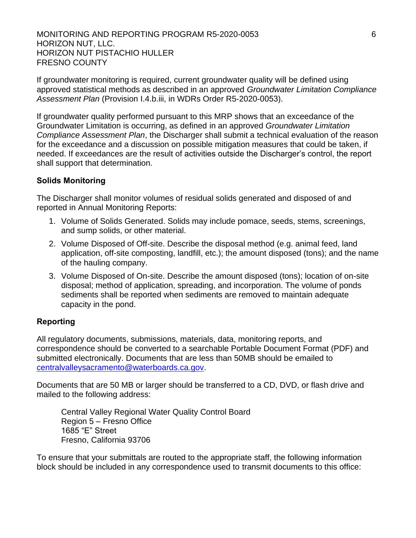#### MONITORING AND REPORTING PROGRAM R5-2020-0053 66 HORIZON NUT, LLC. HORIZON NUT PISTACHIO HULLER FRESNO COUNTY

If groundwater monitoring is required, current groundwater quality will be defined using approved statistical methods as described in an approved *Groundwater Limitation Compliance Assessment Plan* (Provision I.4.b.iii, in WDRs Order R5-2020-0053).

If groundwater quality performed pursuant to this MRP shows that an exceedance of the Groundwater Limitation is occurring, as defined in an approved *Groundwater Limitation Compliance Assessment Plan*, the Discharger shall submit a technical evaluation of the reason for the exceedance and a discussion on possible mitigation measures that could be taken, if needed. If exceedances are the result of activities outside the Discharger's control, the report shall support that determination.

# **Solids Monitoring**

The Discharger shall monitor volumes of residual solids generated and disposed of and reported in Annual Monitoring Reports:

- 1. Volume of Solids Generated. Solids may include pomace, seeds, stems, screenings, and sump solids, or other material.
- 2. Volume Disposed of Off-site. Describe the disposal method (e.g. animal feed, land application, off-site composting, landfill, etc.); the amount disposed (tons); and the name of the hauling company.
- 3. Volume Disposed of On-site. Describe the amount disposed (tons); location of on-site disposal; method of application, spreading, and incorporation. The volume of ponds sediments shall be reported when sediments are removed to maintain adequate capacity in the pond.

## **Reporting**

All regulatory documents, submissions, materials, data, monitoring reports, and correspondence should be converted to a searchable Portable Document Format (PDF) and submitted electronically. Documents that are less than 50MB should be emailed to [centralvalleysacramento@waterboards.ca.gov.](file://///ca.epa.local/RB/RB5/R5SSections/Permitting%20Title%2027%20Confined%20Animals/Units/Non%2015%20Permitting/01%20County%20Files/SanJoaquin/Barrel%20Ten%20Escalon%20Winery/R5-2020-XXXX/centralvalleysacramento@waterboards.ca.gov)

Documents that are 50 MB or larger should be transferred to a CD, DVD, or flash drive and mailed to the following address:

Central Valley Regional Water Quality Control Board Region 5 – Fresno Office 1685 "E" Street Fresno, California 93706

To ensure that your submittals are routed to the appropriate staff, the following information block should be included in any correspondence used to transmit documents to this office: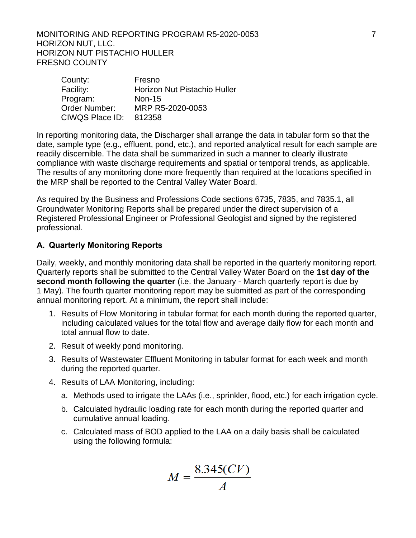#### MONITORING AND REPORTING PROGRAM R5-2020-0053 7 HORIZON NUT, LLC. HORIZON NUT PISTACHIO HULLER FRESNO COUNTY

| County:         | Fresno                       |
|-----------------|------------------------------|
| Facility:       | Horizon Nut Pistachio Huller |
| Program:        | <b>Non-15</b>                |
| Order Number:   | MRP R5-2020-0053             |
| CIWQS Place ID: | 812358                       |

In reporting monitoring data, the Discharger shall arrange the data in tabular form so that the date, sample type (e.g., effluent, pond, etc.), and reported analytical result for each sample are readily discernible. The data shall be summarized in such a manner to clearly illustrate compliance with waste discharge requirements and spatial or temporal trends, as applicable. The results of any monitoring done more frequently than required at the locations specified in the MRP shall be reported to the Central Valley Water Board.

As required by the Business and Professions Code sections 6735, 7835, and 7835.1, all Groundwater Monitoring Reports shall be prepared under the direct supervision of a Registered Professional Engineer or Professional Geologist and signed by the registered professional.

# **A. Quarterly Monitoring Reports**

Daily, weekly, and monthly monitoring data shall be reported in the quarterly monitoring report. Quarterly reports shall be submitted to the Central Valley Water Board on the **1st day of the second month following the quarter** (i.e. the January - March quarterly report is due by 1 May). The fourth quarter monitoring report may be submitted as part of the corresponding annual monitoring report. At a minimum, the report shall include:

- 1. Results of Flow Monitoring in tabular format for each month during the reported quarter, including calculated values for the total flow and average daily flow for each month and total annual flow to date.
- 2. Result of weekly pond monitoring.
- 3. Results of Wastewater Effluent Monitoring in tabular format for each week and month during the reported quarter.
- 4. Results of LAA Monitoring, including:
	- a. Methods used to irrigate the LAAs (i.e., sprinkler, flood, etc.) for each irrigation cycle.
	- b. Calculated hydraulic loading rate for each month during the reported quarter and cumulative annual loading.
	- c. Calculated mass of BOD applied to the LAA on a daily basis shall be calculated using the following formula:

$$
M = \frac{8.345(CV)}{A}
$$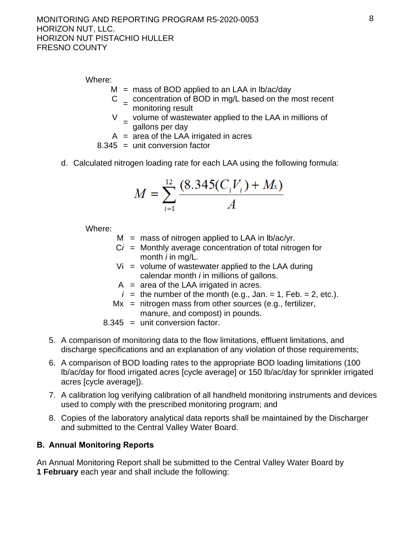Where:

- $M =$  mass of BOD applied to an LAA in lb/ac/day
- $C =$  concentration of BOD in mg/L based on the most recent monitoring result
- V volume of wastewater applied to the LAA in millions of<br>= sollare per dov gallons per day
- $A = \overline{a}$  area of the LAA irrigated in acres
- $8.345 =$  unit conversion factor
- d. Calculated nitrogen loading rate for each LAA using the following formula:

$$
M = \sum_{i=1}^{12} \frac{(8.345(C_i V_i) + M_x)}{A}
$$

Where:

- $M =$  mass of nitrogen applied to LAA in lb/ac/yr.
- $Ci =$  Monthly average concentration of total nitrogen for month *i* in mg/L.
- $Vi = volume of was$  wastewater applied to the LAA during calendar month *i* in millions of gallons.
- $A =$  area of the LAA irrigated in acres.
- $i =$  the number of the month (e.g., Jan. = 1, Feb. = 2, etc.).
- $Mx$  = nitrogen mass from other sources (e.g., fertilizer, manure, and compost) in pounds.
- 8.345 = unit conversion factor.
- 5. A comparison of monitoring data to the flow limitations, effluent limitations, and discharge specifications and an explanation of any violation of those requirements;
- 6. A comparison of BOD loading rates to the appropriate BOD loading limitations (100 lb/ac/day for flood irrigated acres [cycle average] or 150 lb/ac/day for sprinkler irrigated acres [cycle average]).
- 7. A calibration log verifying calibration of all handheld monitoring instruments and devices used to comply with the prescribed monitoring program; and
- 8. Copies of the laboratory analytical data reports shall be maintained by the Discharger and submitted to the Central Valley Water Board.

# **B. Annual Monitoring Reports**

An Annual Monitoring Report shall be submitted to the Central Valley Water Board by **1 February** each year and shall include the following: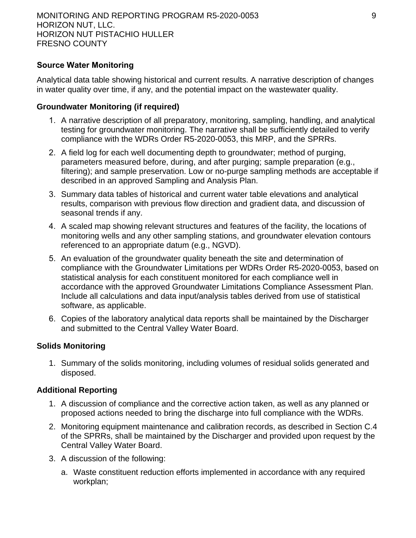# **Source Water Monitoring**

Analytical data table showing historical and current results. A narrative description of changes in water quality over time, if any, and the potential impact on the wastewater quality.

# **Groundwater Monitoring (if required)**

- 1. A narrative description of all preparatory, monitoring, sampling, handling, and analytical testing for groundwater monitoring. The narrative shall be sufficiently detailed to verify compliance with the WDRs Order R5-2020-0053, this MRP, and the SPRRs.
- 2. A field log for each well documenting depth to groundwater; method of purging, parameters measured before, during, and after purging; sample preparation (e.g., filtering); and sample preservation. Low or no-purge sampling methods are acceptable if described in an approved Sampling and Analysis Plan.
- 3. Summary data tables of historical and current water table elevations and analytical results, comparison with previous flow direction and gradient data, and discussion of seasonal trends if any.
- 4. A scaled map showing relevant structures and features of the facility, the locations of monitoring wells and any other sampling stations, and groundwater elevation contours referenced to an appropriate datum (e.g., NGVD).
- 5. An evaluation of the groundwater quality beneath the site and determination of compliance with the Groundwater Limitations per WDRs Order R5-2020-0053, based on statistical analysis for each constituent monitored for each compliance well in accordance with the approved Groundwater Limitations Compliance Assessment Plan. Include all calculations and data input/analysis tables derived from use of statistical software, as applicable.
- 6. Copies of the laboratory analytical data reports shall be maintained by the Discharger and submitted to the Central Valley Water Board.

# **Solids Monitoring**

1. Summary of the solids monitoring, including volumes of residual solids generated and disposed.

# **Additional Reporting**

- 1. A discussion of compliance and the corrective action taken, as well as any planned or proposed actions needed to bring the discharge into full compliance with the WDRs.
- 2. Monitoring equipment maintenance and calibration records, as described in Section C.4 of the SPRRs, shall be maintained by the Discharger and provided upon request by the Central Valley Water Board.
- 3. A discussion of the following:
	- a. Waste constituent reduction efforts implemented in accordance with any required workplan;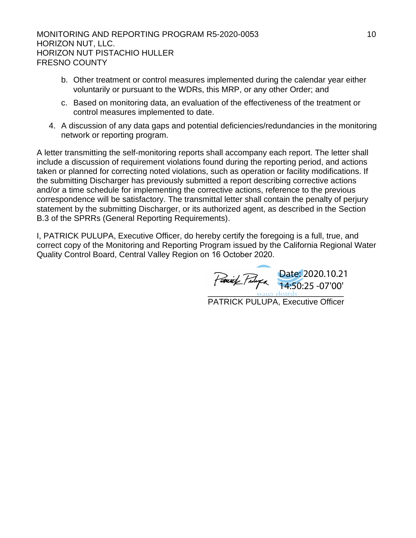#### MONITORING AND REPORTING PROGRAM R5-2020-0053 10 HORIZON NUT, LLC. HORIZON NUT PISTACHIO HULLER FRESNO COUNTY

- b. Other treatment or control measures implemented during the calendar year either voluntarily or pursuant to the WDRs, this MRP, or any other Order; and
- c. Based on monitoring data, an evaluation of the effectiveness of the treatment or control measures implemented to date.
- 4. A discussion of any data gaps and potential deficiencies/redundancies in the monitoring network or reporting program.

A letter transmitting the self-monitoring reports shall accompany each report. The letter shall include a discussion of requirement violations found during the reporting period, and actions taken or planned for correcting noted violations, such as operation or facility modifications. If the submitting Discharger has previously submitted a report describing corrective actions and/or a time schedule for implementing the corrective actions, reference to the previous correspondence will be satisfactory. The transmittal letter shall contain the penalty of perjury statement by the submitting Discharger, or its authorized agent, as described in the Section B.3 of the SPRRs (General Reporting Requirements).

I, PATRICK PULUPA, Executive Officer, do hereby certify the foregoing is a full, true, and correct copy of the Monitoring and Reporting Program issued by the California Regional Water Quality Control Board, Central Valley Region on 16 October 2020.

 $\frac{1}{2}$  water Boards Date: 2020.10.21 14:50:25 -07'00'

PATRICK PULUPA, Executive Officer